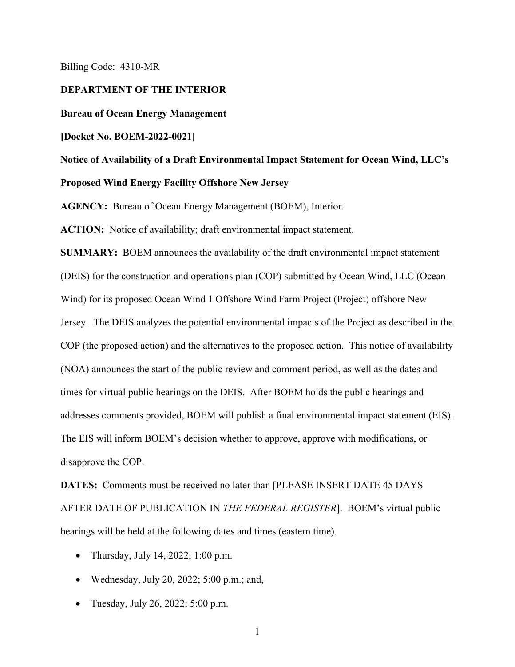Billing Code: 4310-MR

### **DEPARTMENT OF THE INTERIOR**

**Bureau of Ocean Energy Management**

#### **[Docket No. BOEM-2022-0021]**

## **Notice of Availability of a Draft Environmental Impact Statement for Ocean Wind, LLC's Proposed Wind Energy Facility Offshore New Jersey**

**AGENCY:** Bureau of Ocean Energy Management (BOEM), Interior.

**ACTION:** Notice of availability; draft environmental impact statement.

**SUMMARY:** BOEM announces the availability of the draft environmental impact statement (DEIS) for the construction and operations plan (COP) submitted by Ocean Wind, LLC (Ocean Wind) for its proposed Ocean Wind 1 Offshore Wind Farm Project (Project) offshore New Jersey. The DEIS analyzes the potential environmental impacts of the Project as described in the COP (the proposed action) and the alternatives to the proposed action. This notice of availability (NOA) announces the start of the public review and comment period, as well as the dates and times for virtual public hearings on the DEIS. After BOEM holds the public hearings and addresses comments provided, BOEM will publish a final environmental impact statement (EIS). The EIS will inform BOEM's decision whether to approve, approve with modifications, or disapprove the COP.

**DATES:** Comments must be received no later than [PLEASE INSERT DATE 45 DAYS AFTER DATE OF PUBLICATION IN *THE FEDERAL REGISTER*]. BOEM's virtual public hearings will be held at the following dates and times (eastern time).

- Thursday, July 14, 2022; 1:00 p.m.
- Wednesday, July 20, 2022;  $5:00$  p.m.; and,
- Tuesday, July 26, 2022; 5:00 p.m.

1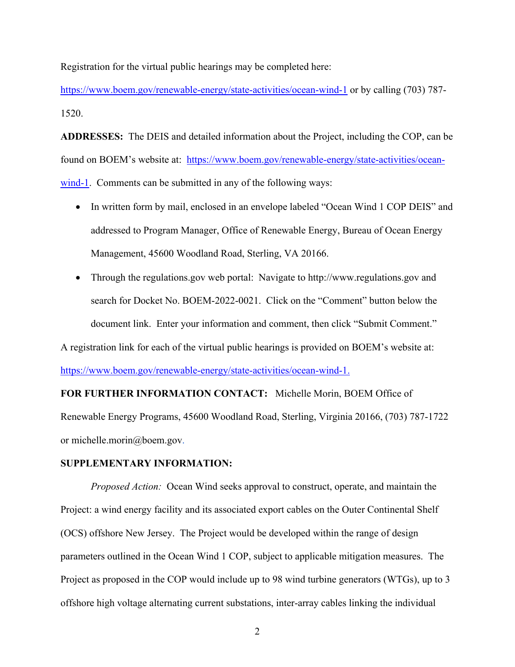Registration for the virtual public hearings may be completed here:

<https://www.boem.gov/renewable-energy/state-activities/ocean-wind-1>or by calling (703) 787- 1520.

**ADDRESSES:** The DEIS and detailed information about the Project, including the COP, can be found on BOEM's website at: [https://www.boem.gov/renewable-energy/state-activities/ocean](https://www.boem.gov/renewable-energy/state-activities/ocean-wind-1)[wind-1.](https://www.boem.gov/renewable-energy/state-activities/ocean-wind-1) Comments can be submitted in any of the following ways:

- In written form by mail, enclosed in an envelope labeled "Ocean Wind 1 COP DEIS" and addressed to Program Manager, Office of Renewable Energy, Bureau of Ocean Energy Management, 45600 Woodland Road, Sterling, VA 20166.
- Through the regulations.gov web portal: Navigate to http://www.regulations.gov and search for Docket No. BOEM-2022-0021. Click on the "Comment" button below the document link. Enter your information and comment, then click "Submit Comment."

A registration link for each of the virtual public hearings is provided on BOEM's website at:

[https://www.boem.gov/renewable-energy/state-activities/ocean-wind-1.](https://www.boem.gov/renewable-energy/state-activities/ocean-wind-1)

# **FOR FURTHER INFORMATION CONTACT:** Michelle Morin, BOEM Office of Renewable Energy Programs, 45600 Woodland Road, Sterling, Virginia 20166, (703) 787-1722 or michelle.morin@boem.gov.

### **SUPPLEMENTARY INFORMATION:**

*Proposed Action:* Ocean Wind seeks approval to construct, operate, and maintain the Project: a wind energy facility and its associated export cables on the Outer Continental Shelf (OCS) offshore New Jersey. The Project would be developed within the range of design parameters outlined in the Ocean Wind 1 COP, subject to applicable mitigation measures. The Project as proposed in the COP would include up to 98 wind turbine generators (WTGs), up to 3 offshore high voltage alternating current substations, inter-array cables linking the individual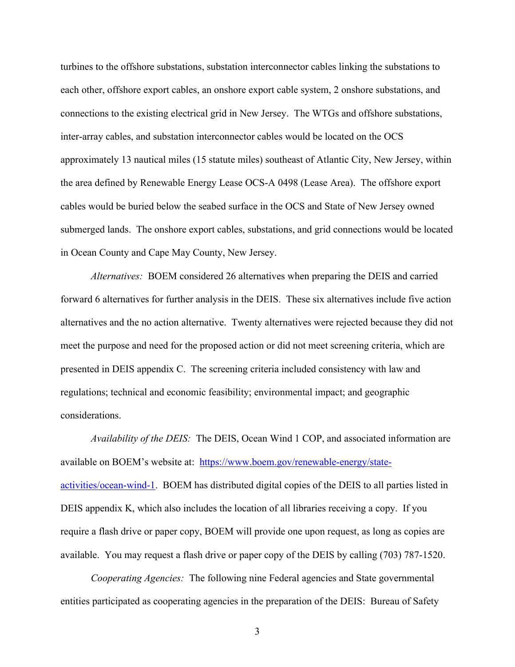turbines to the offshore substations, substation interconnector cables linking the substations to each other, offshore export cables, an onshore export cable system, 2 onshore substations, and connections to the existing electrical grid in New Jersey. The WTGs and offshore substations, inter-array cables, and substation interconnector cables would be located on the OCS approximately 13 nautical miles (15 statute miles) southeast of Atlantic City, New Jersey, within the area defined by Renewable Energy Lease OCS-A 0498 (Lease Area). The offshore export cables would be buried below the seabed surface in the OCS and State of New Jersey owned submerged lands. The onshore export cables, substations, and grid connections would be located in Ocean County and Cape May County, New Jersey.

*Alternatives:* BOEM considered 26 alternatives when preparing the DEIS and carried forward 6 alternatives for further analysis in the DEIS. These six alternatives include five action alternatives and the no action alternative. Twenty alternatives were rejected because they did not meet the purpose and need for the proposed action or did not meet screening criteria, which are presented in DEIS appendix C. The screening criteria included consistency with law and regulations; technical and economic feasibility; environmental impact; and geographic considerations.

*Availability of the DEIS:* The DEIS, Ocean Wind 1 COP, and associated information are available on BOEM's website at: [https://www.boem.gov/renewable-energy/state](https://www.boem.gov/renewable-energy/state-activities/ocean-wind-1)[activities/ocean-wind-1.](https://www.boem.gov/renewable-energy/state-activities/ocean-wind-1) BOEM has distributed digital copies of the DEIS to all parties listed in DEIS appendix K, which also includes the location of all libraries receiving a copy. If you require a flash drive or paper copy, BOEM will provide one upon request, as long as copies are available. You may request a flash drive or paper copy of the DEIS by calling (703) 787-1520.

 *Cooperating Agencies:*The following nine Federal agencies and State governmental entities participated as cooperating agencies in the preparation of the DEIS: Bureau of Safety